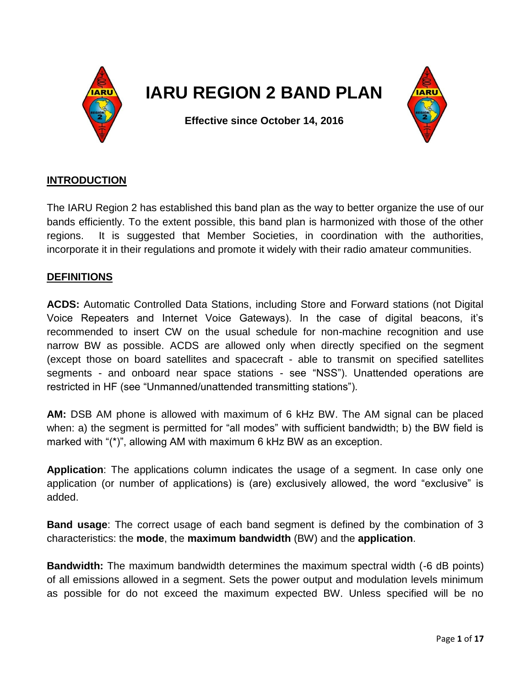

# **IARU REGION 2 BAND PLAN**



**Effective since October 14, 2016**

# **INTRODUCTION**

The IARU Region 2 has established this band plan as the way to better organize the use of our bands efficiently. To the extent possible, this band plan is harmonized with those of the other regions. It is suggested that Member Societies, in coordination with the authorities, incorporate it in their regulations and promote it widely with their radio amateur communities.

# **DEFINITIONS**

**ACDS:** Automatic Controlled Data Stations, including Store and Forward stations (not Digital Voice Repeaters and Internet Voice Gateways). In the case of digital beacons, it's recommended to insert CW on the usual schedule for non-machine recognition and use narrow BW as possible. ACDS are allowed only when directly specified on the segment (except those on board satellites and spacecraft - able to transmit on specified satellites segments - and onboard near space stations - see "NSS"). Unattended operations are restricted in HF (see "Unmanned/unattended transmitting stations").

**AM:** DSB AM phone is allowed with maximum of 6 kHz BW. The AM signal can be placed when: a) the segment is permitted for "all modes" with sufficient bandwidth; b) the BW field is marked with "(\*)", allowing AM with maximum 6 kHz BW as an exception.

**Application**: The applications column indicates the usage of a segment. In case only one application (or number of applications) is (are) exclusively allowed, the word "exclusive" is added.

**Band usage**: The correct usage of each band segment is defined by the combination of 3 characteristics: the **mode**, the **maximum bandwidth** (BW) and the **application**.

**Bandwidth:** The maximum bandwidth determines the maximum spectral width (-6 dB points) of all emissions allowed in a segment. Sets the power output and modulation levels minimum as possible for do not exceed the maximum expected BW. Unless specified will be no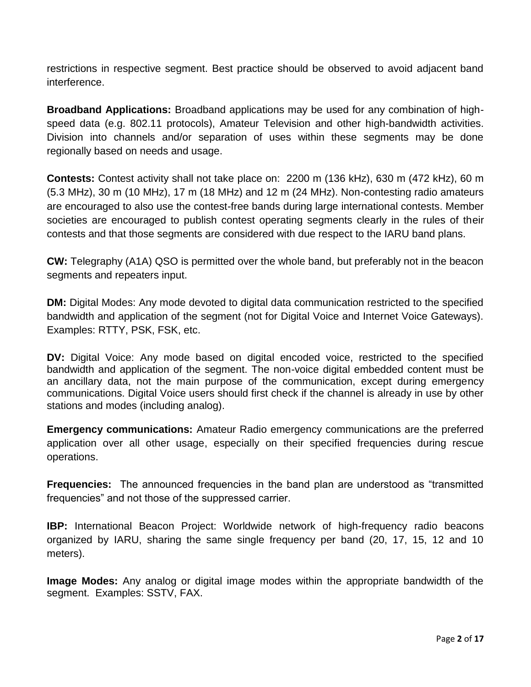restrictions in respective segment. Best practice should be observed to avoid adjacent band interference.

**Broadband Applications:** Broadband applications may be used for any combination of highspeed data (e.g. 802.11 protocols), Amateur Television and other high-bandwidth activities. Division into channels and/or separation of uses within these segments may be done regionally based on needs and usage.

**Contests:** Contest activity shall not take place on: 2200 m (136 kHz), 630 m (472 kHz), 60 m (5.3 MHz), 30 m (10 MHz), 17 m (18 MHz) and 12 m (24 MHz). Non-contesting radio amateurs are encouraged to also use the contest-free bands during large international contests. Member societies are encouraged to publish contest operating segments clearly in the rules of their contests and that those segments are considered with due respect to the IARU band plans.

**CW:** Telegraphy (A1A) QSO is permitted over the whole band, but preferably not in the beacon segments and repeaters input.

**DM:** Digital Modes: Any mode devoted to digital data communication restricted to the specified bandwidth and application of the segment (not for Digital Voice and Internet Voice Gateways). Examples: RTTY, PSK, FSK, etc.

**DV:** Digital Voice: Any mode based on digital encoded voice, restricted to the specified bandwidth and application of the segment. The non-voice digital embedded content must be an ancillary data, not the main purpose of the communication, except during emergency communications. Digital Voice users should first check if the channel is already in use by other stations and modes (including analog).

**Emergency communications:** Amateur Radio emergency communications are the preferred application over all other usage, especially on their specified frequencies during rescue operations.

**Frequencies:** The announced frequencies in the band plan are understood as "transmitted frequencies" and not those of the suppressed carrier.

**IBP:** International Beacon Project: Worldwide network of high-frequency radio beacons organized by IARU, sharing the same single frequency per band (20, 17, 15, 12 and 10 meters).

**Image Modes:** Any analog or digital image modes within the appropriate bandwidth of the segment. Examples: SSTV, FAX.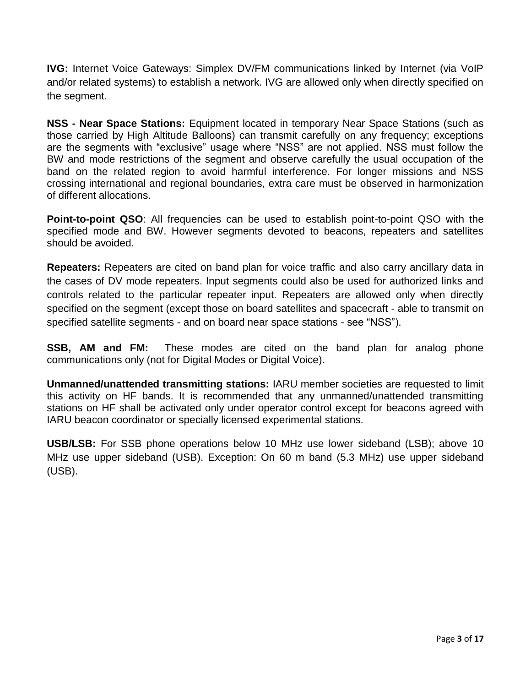**IVG:** Internet Voice Gateways: Simplex DV/FM communications linked by Internet (via VoIP and/or related systems) to establish a network. IVG are allowed only when directly specified on the segment.

**NSS - Near Space Stations:** Equipment located in temporary Near Space Stations (such as those carried by High Altitude Balloons) can transmit carefully on any frequency; exceptions are the segments with "exclusive" usage where "NSS" are not applied. NSS must follow the BW and mode restrictions of the segment and observe carefully the usual occupation of the band on the related region to avoid harmful interference. For longer missions and NSS crossing international and regional boundaries, extra care must be observed in harmonization of different allocations.

**Point-to-point QSO**: All frequencies can be used to establish point-to-point QSO with the specified mode and BW. However segments devoted to beacons, repeaters and satellites should be avoided.

**Repeaters:** Repeaters are cited on band plan for voice traffic and also carry ancillary data in the cases of DV mode repeaters. Input segments could also be used for authorized links and controls related to the particular repeater input. Repeaters are allowed only when directly specified on the segment (except those on board satellites and spacecraft - able to transmit on specified satellite segments - and on board near space stations - see "NSS").

**SSB, AM and FM:** These modes are cited on the band plan for analog phone communications only (not for Digital Modes or Digital Voice).

**Unmanned/unattended transmitting stations:** IARU member societies are requested to limit this activity on HF bands. It is recommended that any unmanned/unattended transmitting stations on HF shall be activated only under operator control except for beacons agreed with IARU beacon coordinator or specially licensed experimental stations.

**USB/LSB:** For SSB phone operations below 10 MHz use lower sideband (LSB); above 10 MHz use upper sideband (USB). Exception: On 60 m band (5.3 MHz) use upper sideband (USB).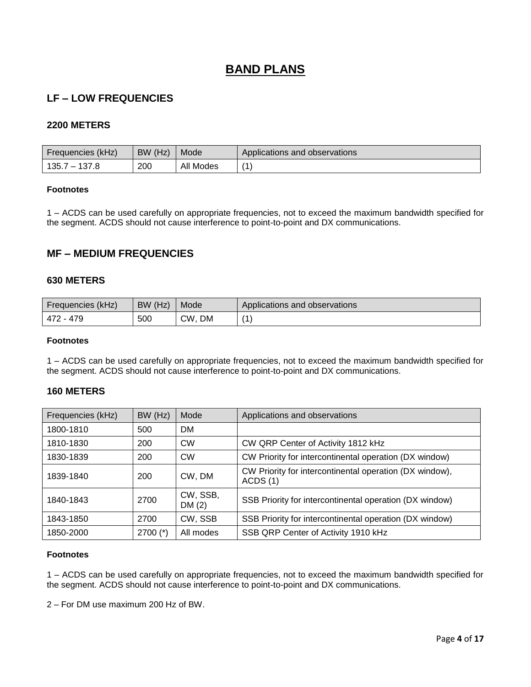# **BAND PLANS**

# **LF – LOW FREQUENCIES**

### **2200 METERS**

| Frequencies (kHz) | BW (Hz) | Mode      | Applications and observations |
|-------------------|---------|-----------|-------------------------------|
| $135.7 - 137.8$   | 200     | All Modes |                               |

#### **Footnotes**

1 – ACDS can be used carefully on appropriate frequencies, not to exceed the maximum bandwidth specified for the segment. ACDS should not cause interference to point-to-point and DX communications.

# **MF – MEDIUM FREQUENCIES**

#### **630 METERS**

| Frequencies (kHz) | BW (Hz) | Mode      | Applications and observations |
|-------------------|---------|-----------|-------------------------------|
| 479<br>472        | 500     | CW,<br>DM | $\overline{A}$                |

#### **Footnotes**

1 – ACDS can be used carefully on appropriate frequencies, not to exceed the maximum bandwidth specified for the segment. ACDS should not cause interference to point-to-point and DX communications.

#### **160 METERS**

| Frequencies (kHz) | BW (Hz)    | Mode              | Applications and observations                                      |
|-------------------|------------|-------------------|--------------------------------------------------------------------|
| 1800-1810         | 500        | <b>DM</b>         |                                                                    |
| 1810-1830         | 200        | <b>CW</b>         | CW QRP Center of Activity 1812 kHz                                 |
| 1830-1839         | 200        | <b>CW</b>         | CW Priority for intercontinental operation (DX window)             |
| 1839-1840         | 200        | CW, DM            | CW Priority for intercontinental operation (DX window),<br>ACDS(1) |
| 1840-1843         | 2700       | CW, SSB,<br>DM(2) | SSB Priority for intercontinental operation (DX window)            |
| 1843-1850         | 2700       | CW, SSB           | SSB Priority for intercontinental operation (DX window)            |
| 1850-2000         | $2700$ (*) | All modes         | SSB QRP Center of Activity 1910 kHz                                |

#### **Footnotes**

1 – ACDS can be used carefully on appropriate frequencies, not to exceed the maximum bandwidth specified for the segment. ACDS should not cause interference to point-to-point and DX communications.

2 – For DM use maximum 200 Hz of BW.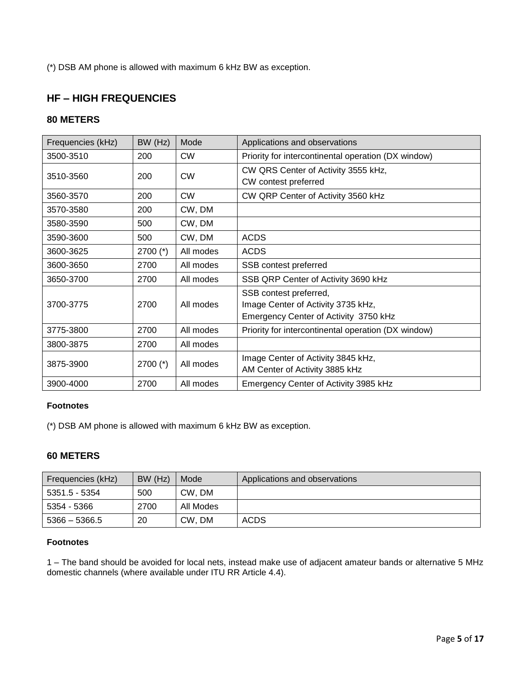(\*) DSB AM phone is allowed with maximum 6 kHz BW as exception.

# **HF – HIGH FREQUENCIES**

### **80 METERS**

| Frequencies (kHz) | BW (Hz)    | Mode      | Applications and observations                                                                         |
|-------------------|------------|-----------|-------------------------------------------------------------------------------------------------------|
| 3500-3510         | 200        | <b>CW</b> | Priority for intercontinental operation (DX window)                                                   |
| 3510-3560         | 200        | <b>CW</b> | CW QRS Center of Activity 3555 kHz,<br>CW contest preferred                                           |
| 3560-3570         | 200        | <b>CW</b> | CW QRP Center of Activity 3560 kHz                                                                    |
| 3570-3580         | 200        | CW, DM    |                                                                                                       |
| 3580-3590         | 500        | CW, DM    |                                                                                                       |
| 3590-3600         | 500        | CW, DM    | <b>ACDS</b>                                                                                           |
| 3600-3625         | 2700 $(*)$ | All modes | <b>ACDS</b>                                                                                           |
| 3600-3650         | 2700       | All modes | SSB contest preferred                                                                                 |
| 3650-3700         | 2700       | All modes | SSB QRP Center of Activity 3690 kHz                                                                   |
| 3700-3775         | 2700       | All modes | SSB contest preferred,<br>Image Center of Activity 3735 kHz,<br>Emergency Center of Activity 3750 kHz |
| 3775-3800         | 2700       | All modes | Priority for intercontinental operation (DX window)                                                   |
| 3800-3875         | 2700       | All modes |                                                                                                       |
| 3875-3900         | $2700$ (*) | All modes | Image Center of Activity 3845 kHz,<br>AM Center of Activity 3885 kHz                                  |
| 3900-4000         | 2700       | All modes | Emergency Center of Activity 3985 kHz                                                                 |

#### **Footnotes**

(\*) DSB AM phone is allowed with maximum 6 kHz BW as exception.

### **60 METERS**

| Frequencies (kHz) | BW (Hz) | Mode      | Applications and observations |
|-------------------|---------|-----------|-------------------------------|
| 5351.5 - 5354     | 500     | CW, DM    |                               |
| 5354 - 5366       | 2700    | All Modes |                               |
| $5366 - 5366.5$   | 20      | CW, DM    | <b>ACDS</b>                   |

#### **Footnotes**

1 – The band should be avoided for local nets, instead make use of adjacent amateur bands or alternative 5 MHz domestic channels (where available under ITU RR Article 4.4).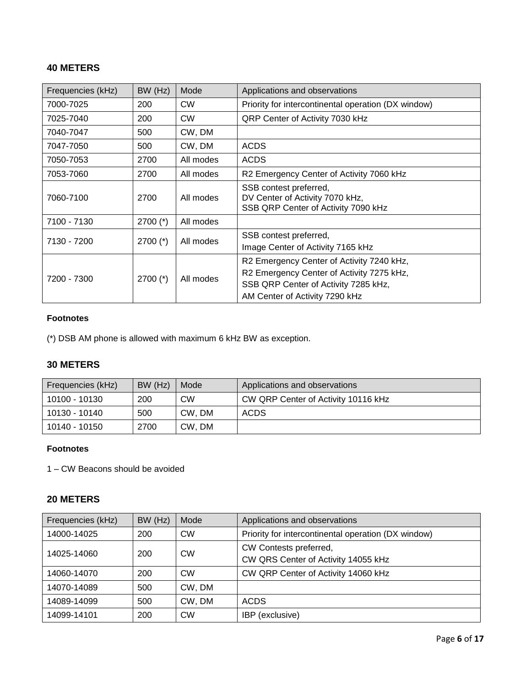# **40 METERS**

| Frequencies (kHz) | BW (Hz)    | Mode      | Applications and observations                                                                                                                                    |
|-------------------|------------|-----------|------------------------------------------------------------------------------------------------------------------------------------------------------------------|
| 7000-7025         | 200        | <b>CW</b> | Priority for intercontinental operation (DX window)                                                                                                              |
| 7025-7040         | 200        | <b>CW</b> | QRP Center of Activity 7030 kHz                                                                                                                                  |
| 7040-7047         | 500        | CW, DM    |                                                                                                                                                                  |
| 7047-7050         | 500        | CW, DM    | <b>ACDS</b>                                                                                                                                                      |
| 7050-7053         | 2700       | All modes | <b>ACDS</b>                                                                                                                                                      |
| 7053-7060         | 2700       | All modes | R2 Emergency Center of Activity 7060 kHz                                                                                                                         |
| 7060-7100         | 2700       | All modes | SSB contest preferred,<br>DV Center of Activity 7070 kHz,<br>SSB QRP Center of Activity 7090 kHz                                                                 |
| 7100 - 7130       | $2700$ (*) | All modes |                                                                                                                                                                  |
| 7130 - 7200       | $2700$ (*) | All modes | SSB contest preferred,<br>Image Center of Activity 7165 kHz                                                                                                      |
| 7200 - 7300       | $2700$ (*) | All modes | R2 Emergency Center of Activity 7240 kHz,<br>R2 Emergency Center of Activity 7275 kHz,<br>SSB QRP Center of Activity 7285 kHz,<br>AM Center of Activity 7290 kHz |

### **Footnotes**

(\*) DSB AM phone is allowed with maximum 6 kHz BW as exception.

### **30 METERS**

| Frequencies (kHz) | BW (Hz) | Mode      | Applications and observations       |
|-------------------|---------|-----------|-------------------------------------|
| 10100 - 10130     | 200     | <b>CW</b> | CW QRP Center of Activity 10116 kHz |
| 10130 - 10140     | 500     | CW, DM    | ACDS                                |
| 10140 - 10150     | 2700    | CW. DM    |                                     |

### **Footnotes**

1 – CW Beacons should be avoided

### **20 METERS**

| Frequencies (kHz) | BW (Hz) | Mode      | Applications and observations                                 |
|-------------------|---------|-----------|---------------------------------------------------------------|
| 14000-14025       | 200     | <b>CW</b> | Priority for intercontinental operation (DX window)           |
| 14025-14060       | 200     | <b>CW</b> | CW Contests preferred,<br>CW QRS Center of Activity 14055 kHz |
| 14060-14070       | 200     | <b>CW</b> | CW QRP Center of Activity 14060 kHz                           |
| 14070-14089       | 500     | CW, DM    |                                                               |
| 14089-14099       | 500     | CW, DM    | <b>ACDS</b>                                                   |
| 14099-14101       | 200     | <b>CW</b> | IBP (exclusive)                                               |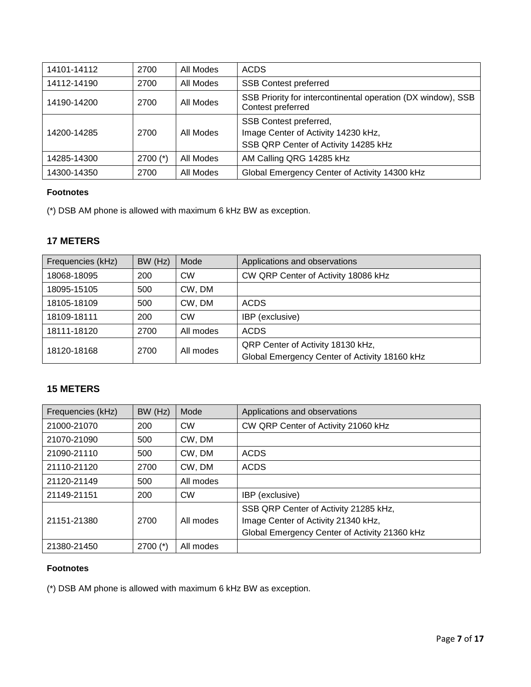| 14101-14112 | 2700       | All Modes | <b>ACDS</b>                                                                                           |
|-------------|------------|-----------|-------------------------------------------------------------------------------------------------------|
| 14112-14190 | 2700       | All Modes | <b>SSB Contest preferred</b>                                                                          |
| 14190-14200 | 2700       | All Modes | SSB Priority for intercontinental operation (DX window), SSB<br>Contest preferred                     |
| 14200-14285 | 2700       | All Modes | SSB Contest preferred,<br>Image Center of Activity 14230 kHz,<br>SSB QRP Center of Activity 14285 kHz |
| 14285-14300 | $2700$ (*) | All Modes | AM Calling QRG 14285 kHz                                                                              |
| 14300-14350 | 2700       | All Modes | Global Emergency Center of Activity 14300 kHz                                                         |

(\*) DSB AM phone is allowed with maximum 6 kHz BW as exception.

# **17 METERS**

| Frequencies (kHz) | BW (Hz) | Mode      | Applications and observations                                                      |
|-------------------|---------|-----------|------------------------------------------------------------------------------------|
| 18068-18095       | 200     | <b>CW</b> | CW QRP Center of Activity 18086 kHz                                                |
| 18095-15105       | 500     | CW, DM    |                                                                                    |
| 18105-18109       | 500     | CW, DM    | <b>ACDS</b>                                                                        |
| 18109-18111       | 200     | <b>CW</b> | IBP (exclusive)                                                                    |
| 18111-18120       | 2700    | All modes | <b>ACDS</b>                                                                        |
| 18120-18168       | 2700    | All modes | QRP Center of Activity 18130 kHz,<br>Global Emergency Center of Activity 18160 kHz |

# **15 METERS**

| Frequencies (kHz) | BW (Hz)    | Mode      | Applications and observations                                                                                                 |
|-------------------|------------|-----------|-------------------------------------------------------------------------------------------------------------------------------|
| 21000-21070       | 200        | <b>CW</b> | CW QRP Center of Activity 21060 kHz                                                                                           |
| 21070-21090       | 500        | CW, DM    |                                                                                                                               |
| 21090-21110       | 500        | CW, DM    | <b>ACDS</b>                                                                                                                   |
| 21110-21120       | 2700       | CW, DM    | <b>ACDS</b>                                                                                                                   |
| 21120-21149       | 500        | All modes |                                                                                                                               |
| 21149-21151       | 200        | <b>CW</b> | IBP (exclusive)                                                                                                               |
| 21151-21380       | 2700       | All modes | SSB QRP Center of Activity 21285 kHz,<br>Image Center of Activity 21340 kHz,<br>Global Emergency Center of Activity 21360 kHz |
| 21380-21450       | $2700$ (*) | All modes |                                                                                                                               |

### **Footnotes**

(\*) DSB AM phone is allowed with maximum 6 kHz BW as exception.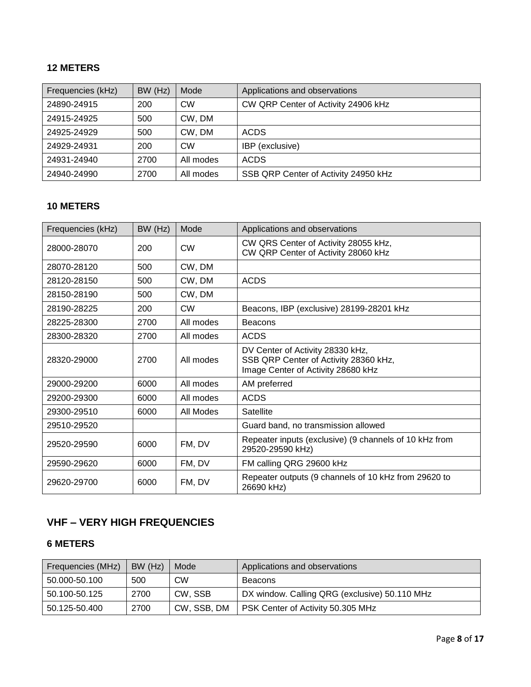# **12 METERS**

| Frequencies (kHz) | BW (Hz) | Mode      | Applications and observations        |
|-------------------|---------|-----------|--------------------------------------|
| 24890-24915       | 200     | <b>CW</b> | CW QRP Center of Activity 24906 kHz  |
| 24915-24925       | 500     | CW, DM    |                                      |
| 24925-24929       | 500     | CW, DM    | <b>ACDS</b>                          |
| 24929-24931       | 200     | <b>CW</b> | IBP (exclusive)                      |
| 24931-24940       | 2700    | All modes | <b>ACDS</b>                          |
| 24940-24990       | 2700    | All modes | SSB QRP Center of Activity 24950 kHz |

# **10 METERS**

| Frequencies (kHz) | BW (Hz) | Mode      | Applications and observations                                                                                   |
|-------------------|---------|-----------|-----------------------------------------------------------------------------------------------------------------|
| 28000-28070       | 200     | <b>CW</b> | CW QRS Center of Activity 28055 kHz,<br>CW QRP Center of Activity 28060 kHz                                     |
| 28070-28120       | 500     | CW, DM    |                                                                                                                 |
| 28120-28150       | 500     | CW, DM    | <b>ACDS</b>                                                                                                     |
| 28150-28190       | 500     | CW, DM    |                                                                                                                 |
| 28190-28225       | 200     | <b>CW</b> | Beacons, IBP (exclusive) 28199-28201 kHz                                                                        |
| 28225-28300       | 2700    | All modes | <b>Beacons</b>                                                                                                  |
| 28300-28320       | 2700    | All modes | <b>ACDS</b>                                                                                                     |
| 28320-29000       | 2700    | All modes | DV Center of Activity 28330 kHz,<br>SSB QRP Center of Activity 28360 kHz,<br>Image Center of Activity 28680 kHz |
| 29000-29200       | 6000    | All modes | AM preferred                                                                                                    |
| 29200-29300       | 6000    | All modes | <b>ACDS</b>                                                                                                     |
| 29300-29510       | 6000    | All Modes | Satellite                                                                                                       |
| 29510-29520       |         |           | Guard band, no transmission allowed                                                                             |
| 29520-29590       | 6000    | FM, DV    | Repeater inputs (exclusive) (9 channels of 10 kHz from<br>29520-29590 kHz)                                      |
| 29590-29620       | 6000    | FM, DV    | FM calling QRG 29600 kHz                                                                                        |
| 29620-29700       | 6000    | FM, DV    | Repeater outputs (9 channels of 10 kHz from 29620 to<br>26690 kHz)                                              |

# **VHF – VERY HIGH FREQUENCIES**

# **6 METERS**

| Frequencies (MHz) | BW (Hz) | Mode        | Applications and observations                 |
|-------------------|---------|-------------|-----------------------------------------------|
| 50.000-50.100     | 500     | СW          | Beacons                                       |
| 50.100-50.125     | 2700    | CW, SSB     | DX window. Calling QRG (exclusive) 50.110 MHz |
| 50.125-50.400     | 2700    | CW, SSB, DM | PSK Center of Activity 50.305 MHz             |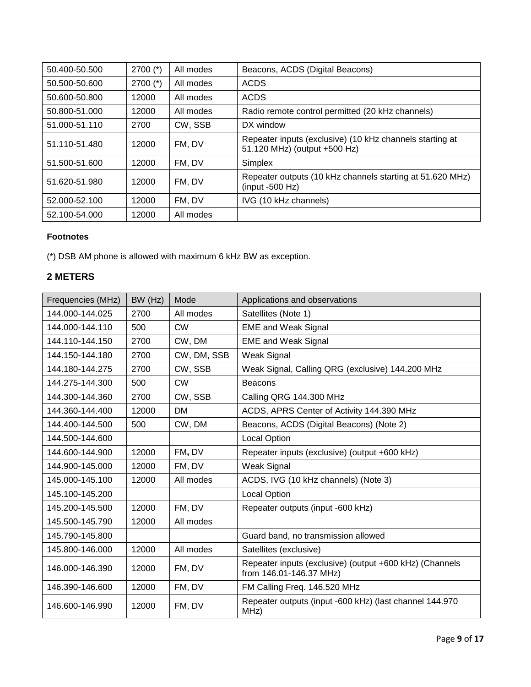| 50.400-50.500 | $2700$ (*) | All modes | Beacons, ACDS (Digital Beacons)                                                          |
|---------------|------------|-----------|------------------------------------------------------------------------------------------|
| 50.500-50.600 | $2700$ (*) | All modes | <b>ACDS</b>                                                                              |
| 50.600-50.800 | 12000      | All modes | <b>ACDS</b>                                                                              |
| 50.800-51.000 | 12000      | All modes | Radio remote control permitted (20 kHz channels)                                         |
| 51.000-51.110 | 2700       | CW, SSB   | DX window                                                                                |
| 51.110-51.480 | 12000      | FM, DV    | Repeater inputs (exclusive) (10 kHz channels starting at<br>51.120 MHz) (output +500 Hz) |
| 51.500-51.600 | 12000      | FM, DV    | Simplex                                                                                  |
| 51.620-51.980 | 12000      | FM, DV    | Repeater outputs (10 kHz channels starting at 51.620 MHz)<br>$(input -500 Hz)$           |
| 52.000-52.100 | 12000      | FM, DV    | IVG (10 kHz channels)                                                                    |
| 52.100-54.000 | 12000      | All modes |                                                                                          |

(\*) DSB AM phone is allowed with maximum 6 kHz BW as exception.

# **2 METERS**

| Frequencies (MHz) | BW (Hz) | Mode        | Applications and observations                                                      |
|-------------------|---------|-------------|------------------------------------------------------------------------------------|
| 144.000-144.025   | 2700    | All modes   | Satellites (Note 1)                                                                |
| 144.000-144.110   | 500     | <b>CW</b>   | <b>EME and Weak Signal</b>                                                         |
| 144.110-144.150   | 2700    | CW, DM      | <b>EME and Weak Signal</b>                                                         |
| 144.150-144.180   | 2700    | CW, DM, SSB | Weak Signal                                                                        |
| 144.180-144.275   | 2700    | CW, SSB     | Weak Signal, Calling QRG (exclusive) 144.200 MHz                                   |
| 144.275-144.300   | 500     | <b>CW</b>   | <b>Beacons</b>                                                                     |
| 144.300-144.360   | 2700    | CW, SSB     | Calling QRG 144.300 MHz                                                            |
| 144.360-144.400   | 12000   | <b>DM</b>   | ACDS, APRS Center of Activity 144.390 MHz                                          |
| 144.400-144.500   | 500     | CW, DM      | Beacons, ACDS (Digital Beacons) (Note 2)                                           |
| 144.500-144.600   |         |             | <b>Local Option</b>                                                                |
| 144.600-144.900   | 12000   | FM, DV      | Repeater inputs (exclusive) (output +600 kHz)                                      |
| 144.900-145.000   | 12000   | FM, DV      | Weak Signal                                                                        |
| 145.000-145.100   | 12000   | All modes   | ACDS, IVG (10 kHz channels) (Note 3)                                               |
| 145.100-145.200   |         |             | <b>Local Option</b>                                                                |
| 145.200-145.500   | 12000   | FM, DV      | Repeater outputs (input -600 kHz)                                                  |
| 145.500-145.790   | 12000   | All modes   |                                                                                    |
| 145.790-145.800   |         |             | Guard band, no transmission allowed                                                |
| 145.800-146.000   | 12000   | All modes   | Satellites (exclusive)                                                             |
| 146.000-146.390   | 12000   | FM, DV      | Repeater inputs (exclusive) (output +600 kHz) (Channels<br>from 146.01-146.37 MHz) |
| 146.390-146.600   | 12000   | FM, DV      | FM Calling Freq. 146.520 MHz                                                       |
| 146.600-146.990   | 12000   | FM, DV      | Repeater outputs (input -600 kHz) (last channel 144.970<br>MHz)                    |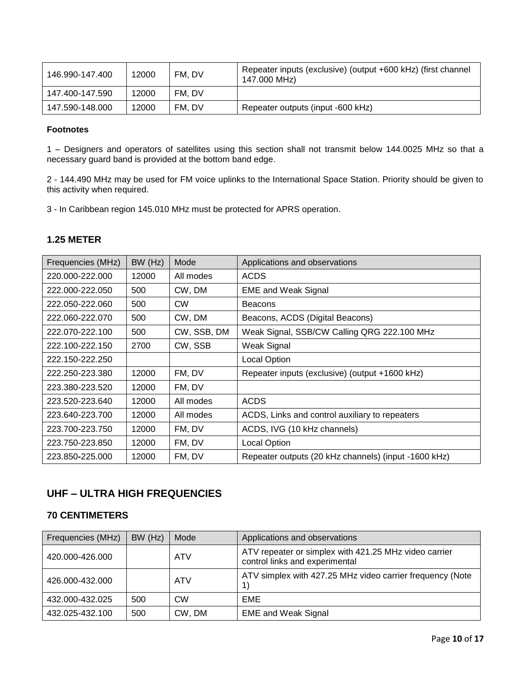| 146.990-147.400 | 12000 | FM, DV | Repeater inputs (exclusive) (output +600 kHz) (first channel<br>147,000 MHz) |
|-----------------|-------|--------|------------------------------------------------------------------------------|
| 147.400-147.590 | 12000 | FM. DV |                                                                              |
| 147.590-148.000 | 12000 | FM. DV | Repeater outputs (input -600 kHz)                                            |

1 – Designers and operators of satellites using this section shall not transmit below 144.0025 MHz so that a necessary guard band is provided at the bottom band edge.

2 - 144.490 MHz may be used for FM voice uplinks to the International Space Station. Priority should be given to this activity when required.

3 - In Caribbean region 145.010 MHz must be protected for APRS operation.

### **1.25 METER**

| Frequencies (MHz) | BW (Hz) | Mode        | Applications and observations                        |
|-------------------|---------|-------------|------------------------------------------------------|
| 220.000-222.000   | 12000   | All modes   | <b>ACDS</b>                                          |
| 222.000-222.050   | 500     | CW, DM      | <b>EME and Weak Signal</b>                           |
| 222.050-222.060   | 500     | <b>CW</b>   | <b>Beacons</b>                                       |
| 222.060-222.070   | 500     | CW, DM      | Beacons, ACDS (Digital Beacons)                      |
| 222.070-222.100   | 500     | CW, SSB, DM | Weak Signal, SSB/CW Calling QRG 222.100 MHz          |
| 222.100-222.150   | 2700    | CW, SSB     | Weak Signal                                          |
| 222.150-222.250   |         |             | <b>Local Option</b>                                  |
| 222.250-223.380   | 12000   | FM, DV      | Repeater inputs (exclusive) (output +1600 kHz)       |
| 223.380-223.520   | 12000   | FM, DV      |                                                      |
| 223.520-223.640   | 12000   | All modes   | <b>ACDS</b>                                          |
| 223.640-223.700   | 12000   | All modes   | ACDS, Links and control auxiliary to repeaters       |
| 223.700-223.750   | 12000   | FM, DV      | ACDS, IVG (10 kHz channels)                          |
| 223.750-223.850   | 12000   | FM, DV      | <b>Local Option</b>                                  |
| 223.850-225.000   | 12000   | FM, DV      | Repeater outputs (20 kHz channels) (input -1600 kHz) |

# **UHF – ULTRA HIGH FREQUENCIES**

### **70 CENTIMETERS**

| Frequencies (MHz) | BW (Hz) | Mode       | Applications and observations                                                           |
|-------------------|---------|------------|-----------------------------------------------------------------------------------------|
| 420.000-426.000   |         | <b>ATV</b> | ATV repeater or simplex with 421.25 MHz video carrier<br>control links and experimental |
| 426.000-432.000   |         | <b>ATV</b> | ATV simplex with 427.25 MHz video carrier frequency (Note                               |
| 432.000-432.025   | 500     | <b>CW</b>  | EME                                                                                     |
| 432.025-432.100   | 500     | CW, DM     | <b>EME and Weak Signal</b>                                                              |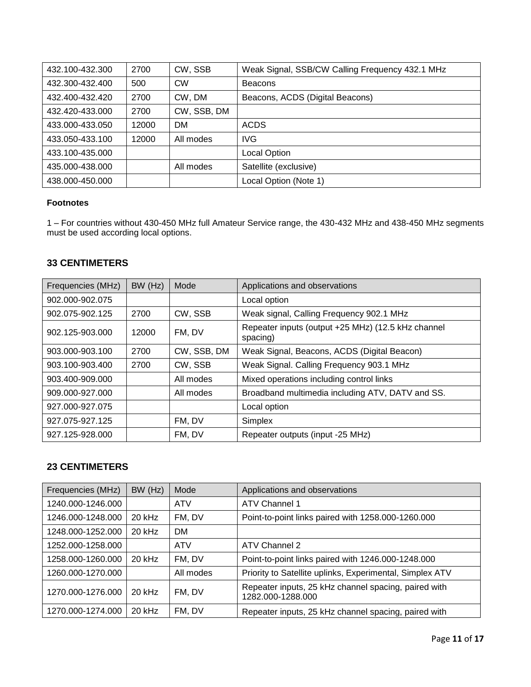| 432.100-432.300 | 2700  | CW, SSB     | Weak Signal, SSB/CW Calling Frequency 432.1 MHz |
|-----------------|-------|-------------|-------------------------------------------------|
| 432.300-432.400 | 500   | <b>CW</b>   | <b>Beacons</b>                                  |
| 432.400-432.420 | 2700  | CW, DM      | Beacons, ACDS (Digital Beacons)                 |
| 432.420-433.000 | 2700  | CW, SSB, DM |                                                 |
| 433.000-433.050 | 12000 | <b>DM</b>   | <b>ACDS</b>                                     |
| 433.050-433.100 | 12000 | All modes   | <b>IVG</b>                                      |
| 433.100-435.000 |       |             | <b>Local Option</b>                             |
| 435.000-438.000 |       | All modes   | Satellite (exclusive)                           |
| 438.000-450.000 |       |             | Local Option (Note 1)                           |

1 – For countries without 430-450 MHz full Amateur Service range, the 430-432 MHz and 438-450 MHz segments must be used according local options.

# **33 CENTIMETERS**

| Frequencies (MHz) | BW (Hz) | Mode        | Applications and observations                                  |
|-------------------|---------|-------------|----------------------------------------------------------------|
| 902.000-902.075   |         |             | Local option                                                   |
| 902.075-902.125   | 2700    | CW, SSB     | Weak signal, Calling Frequency 902.1 MHz                       |
| 902.125-903.000   | 12000   | FM, DV      | Repeater inputs (output +25 MHz) (12.5 kHz channel<br>spacing) |
| 903.000-903.100   | 2700    | CW, SSB, DM | Weak Signal, Beacons, ACDS (Digital Beacon)                    |
| 903.100-903.400   | 2700    | CW, SSB     | Weak Signal. Calling Frequency 903.1 MHz                       |
| 903.400-909.000   |         | All modes   | Mixed operations including control links                       |
| 909.000-927.000   |         | All modes   | Broadband multimedia including ATV, DATV and SS.               |
| 927.000-927.075   |         |             | Local option                                                   |
| 927.075-927.125   |         | FM, DV      | Simplex                                                        |
| 927.125-928.000   |         | FM, DV      | Repeater outputs (input -25 MHz)                               |

# **23 CENTIMETERS**

| Frequencies (MHz) | BW (Hz)  | Mode       | Applications and observations                                             |
|-------------------|----------|------------|---------------------------------------------------------------------------|
| 1240.000-1246.000 |          | <b>ATV</b> | ATV Channel 1                                                             |
| 1246.000-1248.000 | 20 kHz   | FM, DV     | Point-to-point links paired with 1258.000-1260.000                        |
| 1248.000-1252.000 | 20 kHz   | <b>DM</b>  |                                                                           |
| 1252.000-1258.000 |          | <b>ATV</b> | ATV Channel 2                                                             |
| 1258.000-1260.000 | 20 kHz   | FM, DV     | Point-to-point links paired with 1246.000-1248.000                        |
| 1260.000-1270.000 |          | All modes  | Priority to Satellite uplinks, Experimental, Simplex ATV                  |
| 1270.000-1276.000 | $20$ kHz | FM, DV     | Repeater inputs, 25 kHz channel spacing, paired with<br>1282.000-1288.000 |
| 1270.000-1274.000 | 20 kHz   | FM, DV     | Repeater inputs, 25 kHz channel spacing, paired with                      |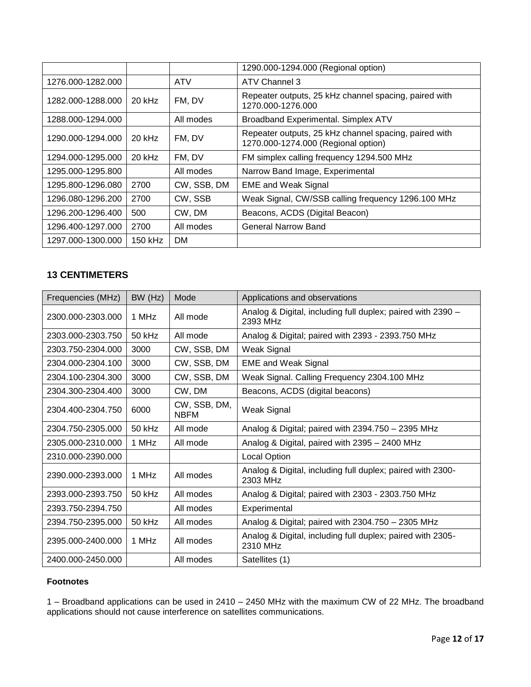|                   |          |             | 1290.000-1294.000 (Regional option)                                                          |
|-------------------|----------|-------------|----------------------------------------------------------------------------------------------|
| 1276.000-1282.000 |          | <b>ATV</b>  | ATV Channel 3                                                                                |
| 1282.000-1288.000 | 20 kHz   | FM, DV      | Repeater outputs, 25 kHz channel spacing, paired with<br>1270.000-1276.000                   |
| 1288.000-1294.000 |          | All modes   | Broadband Experimental. Simplex ATV                                                          |
| 1290.000-1294.000 | 20 kHz   | FM, DV      | Repeater outputs, 25 kHz channel spacing, paired with<br>1270.000-1274.000 (Regional option) |
| 1294.000-1295.000 | $20$ kHz | FM, DV      | FM simplex calling frequency 1294.500 MHz                                                    |
| 1295.000-1295.800 |          | All modes   | Narrow Band Image, Experimental                                                              |
| 1295.800-1296.080 | 2700     | CW, SSB, DM | <b>EME and Weak Signal</b>                                                                   |
| 1296.080-1296.200 | 2700     | CW, SSB     | Weak Signal, CW/SSB calling frequency 1296.100 MHz                                           |
| 1296.200-1296.400 | 500      | CW, DM      | Beacons, ACDS (Digital Beacon)                                                               |
| 1296.400-1297.000 | 2700     | All modes   | <b>General Narrow Band</b>                                                                   |
| 1297.000-1300.000 | 150 kHz  | DM.         |                                                                                              |

# **13 CENTIMETERS**

| Frequencies (MHz) | BW (Hz) | Mode                        | Applications and observations                                           |
|-------------------|---------|-----------------------------|-------------------------------------------------------------------------|
| 2300.000-2303.000 | 1 MHz   | All mode                    | Analog & Digital, including full duplex; paired with 2390 -<br>2393 MHz |
| 2303.000-2303.750 | 50 kHz  | All mode                    | Analog & Digital; paired with 2393 - 2393.750 MHz                       |
| 2303.750-2304.000 | 3000    | CW, SSB, DM                 | Weak Signal                                                             |
| 2304.000-2304.100 | 3000    | CW, SSB, DM                 | <b>EME and Weak Signal</b>                                              |
| 2304.100-2304.300 | 3000    | CW, SSB, DM                 | Weak Signal. Calling Frequency 2304.100 MHz                             |
| 2304.300-2304.400 | 3000    | CW, DM                      | Beacons, ACDS (digital beacons)                                         |
| 2304.400-2304.750 | 6000    | CW, SSB, DM,<br><b>NBFM</b> | Weak Signal                                                             |
| 2304.750-2305.000 | 50 kHz  | All mode                    | Analog & Digital; paired with 2394.750 - 2395 MHz                       |
| 2305.000-2310.000 | 1 MHz   | All mode                    | Analog & Digital, paired with 2395 - 2400 MHz                           |
| 2310.000-2390.000 |         |                             | <b>Local Option</b>                                                     |
| 2390.000-2393.000 | 1 MHz   | All modes                   | Analog & Digital, including full duplex; paired with 2300-<br>2303 MHz  |
| 2393.000-2393.750 | 50 kHz  | All modes                   | Analog & Digital; paired with 2303 - 2303.750 MHz                       |
| 2393.750-2394.750 |         | All modes                   | Experimental                                                            |
| 2394.750-2395.000 | 50 kHz  | All modes                   | Analog & Digital; paired with 2304.750 - 2305 MHz                       |
| 2395.000-2400.000 | 1 MHz   | All modes                   | Analog & Digital, including full duplex; paired with 2305-<br>2310 MHz  |
| 2400.000-2450.000 |         | All modes                   | Satellites (1)                                                          |

### **Footnotes**

1 – Broadband applications can be used in 2410 – 2450 MHz with the maximum CW of 22 MHz. The broadband applications should not cause interference on satellites communications.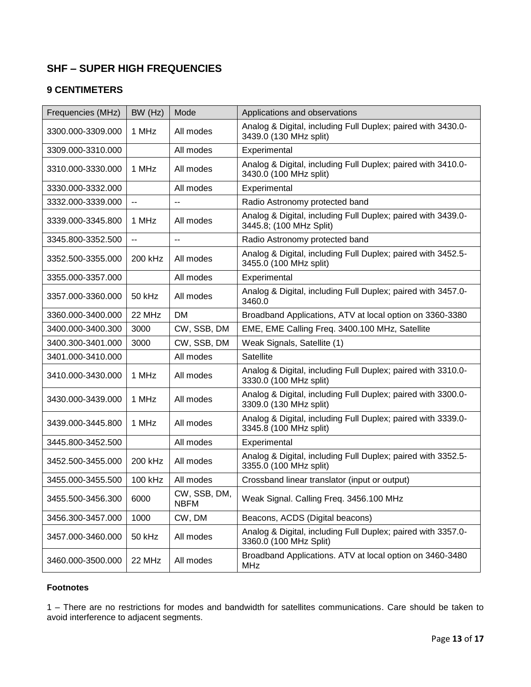# **SHF – SUPER HIGH FREQUENCIES**

# **9 CENTIMETERS**

| Frequencies (MHz) | BW (Hz)                  | Mode                        | Applications and observations                                                           |
|-------------------|--------------------------|-----------------------------|-----------------------------------------------------------------------------------------|
| 3300.000-3309.000 | 1 MHz                    | All modes                   | Analog & Digital, including Full Duplex; paired with 3430.0-<br>3439.0 (130 MHz split)  |
| 3309.000-3310.000 |                          | All modes                   | Experimental                                                                            |
| 3310.000-3330.000 | 1 MHz                    | All modes                   | Analog & Digital, including Full Duplex; paired with 3410.0-<br>3430.0 (100 MHz split)  |
| 3330.000-3332.000 |                          | All modes                   | Experimental                                                                            |
| 3332.000-3339.000 | $\overline{\phantom{a}}$ | --                          | Radio Astronomy protected band                                                          |
| 3339.000-3345.800 | 1 MHz                    | All modes                   | Analog & Digital, including Full Duplex; paired with 3439.0-<br>3445.8; (100 MHz Split) |
| 3345.800-3352.500 | $\overline{a}$           | $\overline{a}$              | Radio Astronomy protected band                                                          |
| 3352.500-3355.000 | 200 kHz                  | All modes                   | Analog & Digital, including Full Duplex; paired with 3452.5-<br>3455.0 (100 MHz split)  |
| 3355.000-3357.000 |                          | All modes                   | Experimental                                                                            |
| 3357.000-3360.000 | 50 kHz                   | All modes                   | Analog & Digital, including Full Duplex; paired with 3457.0-<br>3460.0                  |
| 3360.000-3400.000 | 22 MHz                   | <b>DM</b>                   | Broadband Applications, ATV at local option on 3360-3380                                |
| 3400.000-3400.300 | 3000                     | CW, SSB, DM                 | EME, EME Calling Freq. 3400.100 MHz, Satellite                                          |
| 3400.300-3401.000 | 3000                     | CW, SSB, DM                 | Weak Signals, Satellite (1)                                                             |
| 3401.000-3410.000 |                          | All modes                   | Satellite                                                                               |
| 3410.000-3430.000 | 1 MHz                    | All modes                   | Analog & Digital, including Full Duplex; paired with 3310.0-<br>3330.0 (100 MHz split)  |
| 3430.000-3439.000 | 1 MHz                    | All modes                   | Analog & Digital, including Full Duplex; paired with 3300.0-<br>3309.0 (130 MHz split)  |
| 3439.000-3445.800 | 1 MHz                    | All modes                   | Analog & Digital, including Full Duplex; paired with 3339.0-<br>3345.8 (100 MHz split)  |
| 3445.800-3452.500 |                          | All modes                   | Experimental                                                                            |
| 3452.500-3455.000 | 200 kHz                  | All modes                   | Analog & Digital, including Full Duplex; paired with 3352.5-<br>3355.0 (100 MHz split)  |
| 3455.000-3455.500 | 100 kHz                  | All modes                   | Crossband linear translator (input or output)                                           |
| 3455.500-3456.300 | 6000                     | CW, SSB, DM,<br><b>NBFM</b> | Weak Signal. Calling Freq. 3456.100 MHz                                                 |
| 3456.300-3457.000 | 1000                     | CW, DM                      | Beacons, ACDS (Digital beacons)                                                         |
| 3457.000-3460.000 | 50 kHz                   | All modes                   | Analog & Digital, including Full Duplex; paired with 3357.0-<br>3360.0 (100 MHz Split)  |
| 3460.000-3500.000 | 22 MHz                   | All modes                   | Broadband Applications. ATV at local option on 3460-3480<br><b>MHz</b>                  |

### **Footnotes**

1 – There are no restrictions for modes and bandwidth for satellites communications. Care should be taken to avoid interference to adjacent segments.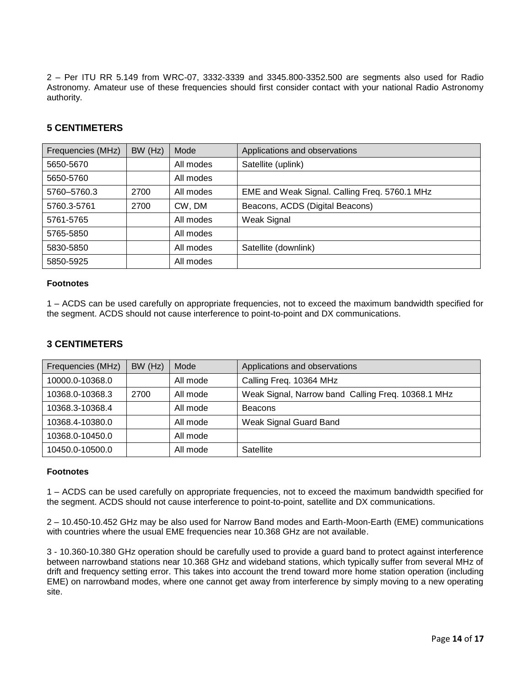2 – Per ITU RR 5.149 from WRC-07, 3332-3339 and 3345.800-3352.500 are segments also used for Radio Astronomy. Amateur use of these frequencies should first consider contact with your national Radio Astronomy authority.

### **5 CENTIMETERS**

| Frequencies (MHz) | BW (Hz) | Mode      | Applications and observations                 |
|-------------------|---------|-----------|-----------------------------------------------|
| 5650-5670         |         | All modes | Satellite (uplink)                            |
| 5650-5760         |         | All modes |                                               |
| 5760-5760.3       | 2700    | All modes | EME and Weak Signal. Calling Freq. 5760.1 MHz |
| 5760.3-5761       | 2700    | CW, DM    | Beacons, ACDS (Digital Beacons)               |
| 5761-5765         |         | All modes | Weak Signal                                   |
| 5765-5850         |         | All modes |                                               |
| 5830-5850         |         | All modes | Satellite (downlink)                          |
| 5850-5925         |         | All modes |                                               |

#### **Footnotes**

1 – ACDS can be used carefully on appropriate frequencies, not to exceed the maximum bandwidth specified for the segment. ACDS should not cause interference to point-to-point and DX communications.

### **3 CENTIMETERS**

| Frequencies (MHz) | BW (Hz) | Mode     | Applications and observations                      |
|-------------------|---------|----------|----------------------------------------------------|
| 10000.0-10368.0   |         | All mode | Calling Freq. 10364 MHz                            |
| 10368.0-10368.3   | 2700    | All mode | Weak Signal, Narrow band Calling Freq. 10368.1 MHz |
| 10368.3-10368.4   |         | All mode | <b>Beacons</b>                                     |
| 10368.4-10380.0   |         | All mode | Weak Signal Guard Band                             |
| 10368.0-10450.0   |         | All mode |                                                    |
| 10450.0-10500.0   |         | All mode | Satellite                                          |

#### **Footnotes**

1 – ACDS can be used carefully on appropriate frequencies, not to exceed the maximum bandwidth specified for the segment. ACDS should not cause interference to point-to-point, satellite and DX communications.

2 – 10.450-10.452 GHz may be also used for Narrow Band modes and Earth-Moon-Earth (EME) communications with countries where the usual EME frequencies near 10.368 GHz are not available.

3 - 10.360-10.380 GHz operation should be carefully used to provide a guard band to protect against interference between narrowband stations near 10.368 GHz and wideband stations, which typically suffer from several MHz of drift and frequency setting error. This takes into account the trend toward more home station operation (including EME) on narrowband modes, where one cannot get away from interference by simply moving to a new operating site.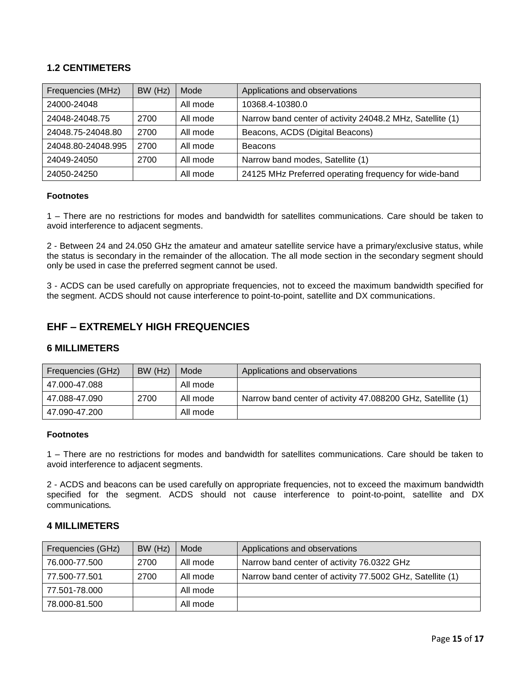### **1.2 CENTIMETERS**

| Frequencies (MHz)  | BW (Hz) | Mode     | Applications and observations                             |
|--------------------|---------|----------|-----------------------------------------------------------|
| 24000-24048        |         | All mode | 10368.4-10380.0                                           |
| 24048-24048.75     | 2700    | All mode | Narrow band center of activity 24048.2 MHz, Satellite (1) |
| 24048.75-24048.80  | 2700    | All mode | Beacons, ACDS (Digital Beacons)                           |
| 24048.80-24048.995 | 2700    | All mode | <b>Beacons</b>                                            |
| 24049-24050        | 2700    | All mode | Narrow band modes, Satellite (1)                          |
| 24050-24250        |         | All mode | 24125 MHz Preferred operating frequency for wide-band     |

### **Footnotes**

1 – There are no restrictions for modes and bandwidth for satellites communications. Care should be taken to avoid interference to adjacent segments.

2 - Between 24 and 24.050 GHz the amateur and amateur satellite service have a primary/exclusive status, while the status is secondary in the remainder of the allocation. The all mode section in the secondary segment should only be used in case the preferred segment cannot be used.

3 - ACDS can be used carefully on appropriate frequencies, not to exceed the maximum bandwidth specified for the segment. ACDS should not cause interference to point-to-point, satellite and DX communications.

# **EHF – EXTREMELY HIGH FREQUENCIES**

#### **6 MILLIMETERS**

| Frequencies (GHz) | BW (Hz) | Mode     | Applications and observations                               |
|-------------------|---------|----------|-------------------------------------------------------------|
| 47.000-47.088     |         | All mode |                                                             |
| 47.088-47.090     | 2700    | All mode | Narrow band center of activity 47.088200 GHz, Satellite (1) |
| 47.090-47.200     |         | All mode |                                                             |

### **Footnotes**

1 – There are no restrictions for modes and bandwidth for satellites communications. Care should be taken to avoid interference to adjacent segments.

2 - ACDS and beacons can be used carefully on appropriate frequencies, not to exceed the maximum bandwidth specified for the segment. ACDS should not cause interference to point-to-point, satellite and DX communications.

#### **4 MILLIMETERS**

| Frequencies (GHz) | BW (Hz) | Mode     | Applications and observations                             |
|-------------------|---------|----------|-----------------------------------------------------------|
| 76.000-77.500     | 2700    | All mode | Narrow band center of activity 76.0322 GHz                |
| 77.500-77.501     | 2700    | All mode | Narrow band center of activity 77.5002 GHz, Satellite (1) |
| 77.501-78.000     |         | All mode |                                                           |
| 78.000-81.500     |         | All mode |                                                           |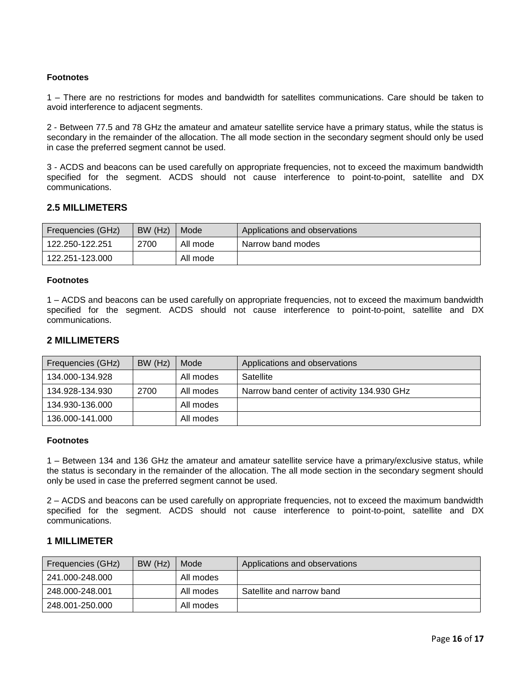1 – There are no restrictions for modes and bandwidth for satellites communications. Care should be taken to avoid interference to adjacent segments.

2 - Between 77.5 and 78 GHz the amateur and amateur satellite service have a primary status, while the status is secondary in the remainder of the allocation. The all mode section in the secondary segment should only be used in case the preferred segment cannot be used.

3 - ACDS and beacons can be used carefully on appropriate frequencies, not to exceed the maximum bandwidth specified for the segment. ACDS should not cause interference to point-to-point, satellite and DX communications.

### **2.5 MILLIMETERS**

| Frequencies (GHz) | BW (Hz) | Mode     | Applications and observations |
|-------------------|---------|----------|-------------------------------|
| 122.250-122.251   | 2700    | All mode | Narrow band modes             |
| 122.251-123.000   |         | All mode |                               |

#### **Footnotes**

1 – ACDS and beacons can be used carefully on appropriate frequencies, not to exceed the maximum bandwidth specified for the segment. ACDS should not cause interference to point-to-point, satellite and DX communications.

### **2 MILLIMETERS**

| Frequencies (GHz) | BW (Hz) | Mode      | Applications and observations              |
|-------------------|---------|-----------|--------------------------------------------|
| 134.000-134.928   |         | All modes | Satellite                                  |
| 134.928-134.930   | 2700    | All modes | Narrow band center of activity 134.930 GHz |
| 134.930-136.000   |         | All modes |                                            |
| 136.000-141.000   |         | All modes |                                            |

#### **Footnotes**

1 – Between 134 and 136 GHz the amateur and amateur satellite service have a primary/exclusive status, while the status is secondary in the remainder of the allocation. The all mode section in the secondary segment should only be used in case the preferred segment cannot be used.

2 – ACDS and beacons can be used carefully on appropriate frequencies, not to exceed the maximum bandwidth specified for the segment. ACDS should not cause interference to point-to-point, satellite and DX communications.

#### **1 MILLIMETER**

| Frequencies (GHz) | BW (Hz) | Mode      | Applications and observations |
|-------------------|---------|-----------|-------------------------------|
| 241.000-248.000   |         | All modes |                               |
| 248.000-248.001   |         | All modes | Satellite and narrow band     |
| 248.001-250.000   |         | All modes |                               |